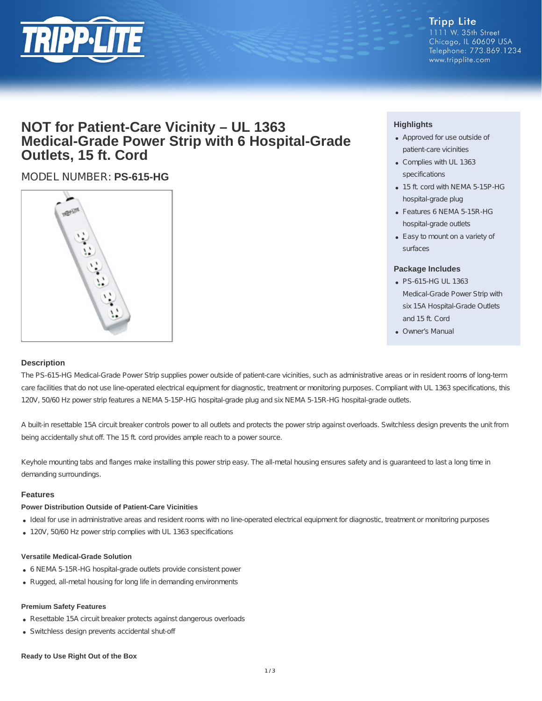

#### **Tripp Lite** 1111 W. 35th Street Chicago, IL 60609 USA Telephone: 773.869.1234 www.tripplite.com

# **NOT for Patient-Care Vicinity – UL 1363 Medical-Grade Power Strip with 6 Hospital-Grade Outlets, 15 ft. Cord**

## MODEL NUMBER: **PS-615-HG**



### **Highlights**

- Approved for use outside of patient-care vicinities
- Complies with UL 1363 specifications
- 15 ft. cord with NEMA 5-15P-HG hospital-grade plug
- Features 6 NEMA 5-15R-HG hospital-grade outlets
- Easy to mount on a variety of surfaces

#### **Package Includes**

- PS-615-HG UL 1363 Medical-Grade Power Strip with six 15A Hospital-Grade Outlets and 15 ft. Cord
- Owner's Manual

#### **Description**

The PS-615-HG Medical-Grade Power Strip supplies power outside of patient-care vicinities, such as administrative areas or in resident rooms of long-term care facilities that do not use line-operated electrical equipment for diagnostic, treatment or monitoring purposes. Compliant with UL 1363 specifications, this 120V, 50/60 Hz power strip features a NEMA 5-15P-HG hospital-grade plug and six NEMA 5-15R-HG hospital-grade outlets.

A built-in resettable 15A circuit breaker controls power to all outlets and protects the power strip against overloads. Switchless design prevents the unit from being accidentally shut off. The 15 ft. cord provides ample reach to a power source.

Keyhole mounting tabs and flanges make installing this power strip easy. The all-metal housing ensures safety and is guaranteed to last a long time in demanding surroundings.

#### **Features**

#### **Power Distribution Outside of Patient-Care Vicinities**

- Ideal for use in administrative areas and resident rooms with no line-operated electrical equipment for diagnostic, treatment or monitoring purposes
- 120V, 50/60 Hz power strip complies with UL 1363 specifications

#### **Versatile Medical-Grade Solution**

- 6 NEMA 5-15R-HG hospital-grade outlets provide consistent power
- Rugged, all-metal housing for long life in demanding environments

#### **Premium Safety Features**

- Resettable 15A circuit breaker protects against dangerous overloads
- Switchless design prevents accidental shut-off

#### **Ready to Use Right Out of the Box**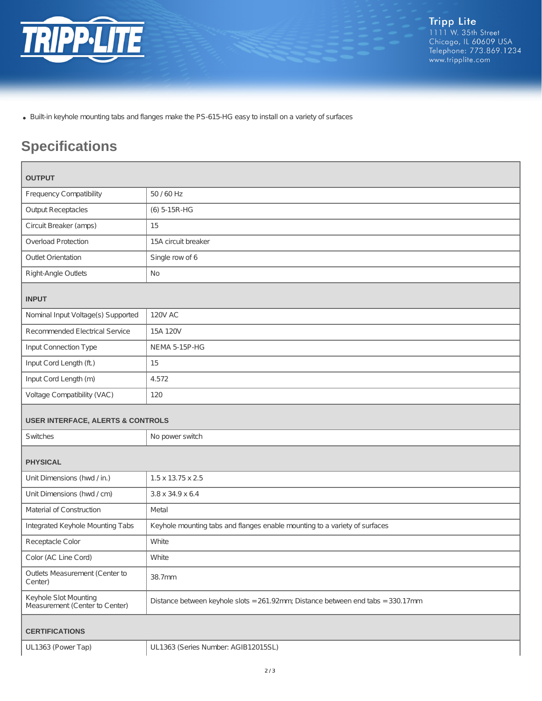

Built-in keyhole mounting tabs and flanges make the PS-615-HG easy to install on a variety of surfaces

# **Specifications**

| <b>OUTPUT</b>                                           |                                                                                 |
|---------------------------------------------------------|---------------------------------------------------------------------------------|
| <b>Frequency Compatibility</b>                          | 50 / 60 Hz                                                                      |
| <b>Output Receptacles</b>                               | (6) 5-15R-HG                                                                    |
| Circuit Breaker (amps)                                  | 15                                                                              |
| Overload Protection                                     | 15A circuit breaker                                                             |
| <b>Outlet Orientation</b>                               | Single row of 6                                                                 |
| Right-Angle Outlets                                     | <b>No</b>                                                                       |
| <b>INPUT</b>                                            |                                                                                 |
| Nominal Input Voltage(s) Supported                      | <b>120V AC</b>                                                                  |
| Recommended Electrical Service                          | 15A 120V                                                                        |
| Input Connection Type                                   | NEMA 5-15P-HG                                                                   |
| Input Cord Length (ft.)                                 | 15                                                                              |
| Input Cord Length (m)                                   | 4.572                                                                           |
| Voltage Compatibility (VAC)                             | 120                                                                             |
| <b>USER INTERFACE, ALERTS &amp; CONTROLS</b>            |                                                                                 |
| Switches                                                | No power switch                                                                 |
| <b>PHYSICAL</b>                                         |                                                                                 |
| Unit Dimensions (hwd / in.)                             | $1.5 \times 13.75 \times 2.5$                                                   |
| Unit Dimensions (hwd / cm)                              | 3.8 x 34.9 x 6.4                                                                |
| Material of Construction                                | Metal                                                                           |
| Integrated Keyhole Mounting Tabs                        | Keyhole mounting tabs and flanges enable mounting to a variety of surfaces      |
| Receptacle Color                                        | White                                                                           |
| Color (AC Line Cord)                                    | White                                                                           |
| Outlets Measurement (Center to<br>Center)               | 38.7mm                                                                          |
| Keyhole Slot Mounting<br>Measurement (Center to Center) | Distance between keyhole slots = 261.92mm; Distance between end tabs = 330.17mm |
| <b>CERTIFICATIONS</b>                                   |                                                                                 |
| UL1363 (Power Tap)                                      | UL1363 (Series Number: AGIB12015SL)                                             |